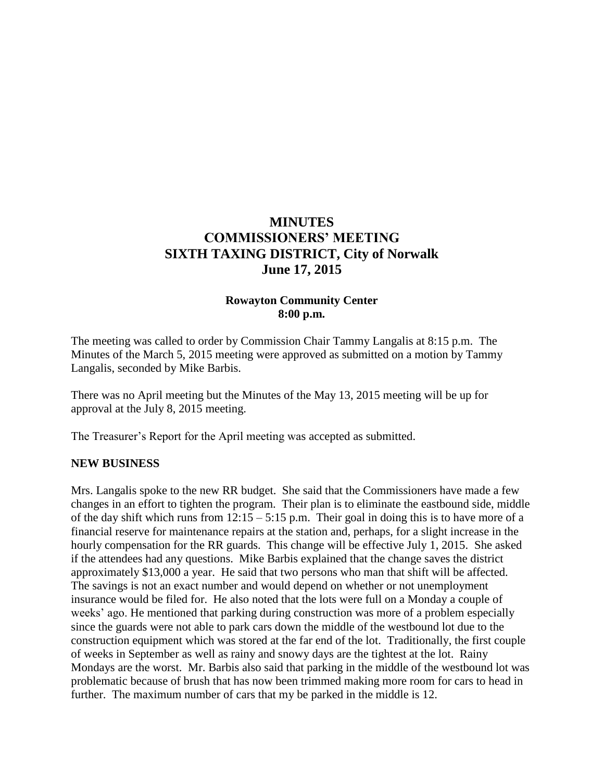# **MINUTES COMMISSIONERS' MEETING SIXTH TAXING DISTRICT, City of Norwalk June 17, 2015**

## **Rowayton Community Center 8:00 p.m.**

The meeting was called to order by Commission Chair Tammy Langalis at 8:15 p.m. The Minutes of the March 5, 2015 meeting were approved as submitted on a motion by Tammy Langalis, seconded by Mike Barbis.

There was no April meeting but the Minutes of the May 13, 2015 meeting will be up for approval at the July 8, 2015 meeting.

The Treasurer's Report for the April meeting was accepted as submitted.

#### **NEW BUSINESS**

Mrs. Langalis spoke to the new RR budget. She said that the Commissioners have made a few changes in an effort to tighten the program. Their plan is to eliminate the eastbound side, middle of the day shift which runs from  $12:15 - 5:15$  p.m. Their goal in doing this is to have more of a financial reserve for maintenance repairs at the station and, perhaps, for a slight increase in the hourly compensation for the RR guards. This change will be effective July 1, 2015. She asked if the attendees had any questions. Mike Barbis explained that the change saves the district approximately \$13,000 a year. He said that two persons who man that shift will be affected. The savings is not an exact number and would depend on whether or not unemployment insurance would be filed for. He also noted that the lots were full on a Monday a couple of weeks' ago. He mentioned that parking during construction was more of a problem especially since the guards were not able to park cars down the middle of the westbound lot due to the construction equipment which was stored at the far end of the lot. Traditionally, the first couple of weeks in September as well as rainy and snowy days are the tightest at the lot. Rainy Mondays are the worst. Mr. Barbis also said that parking in the middle of the westbound lot was problematic because of brush that has now been trimmed making more room for cars to head in further. The maximum number of cars that my be parked in the middle is 12.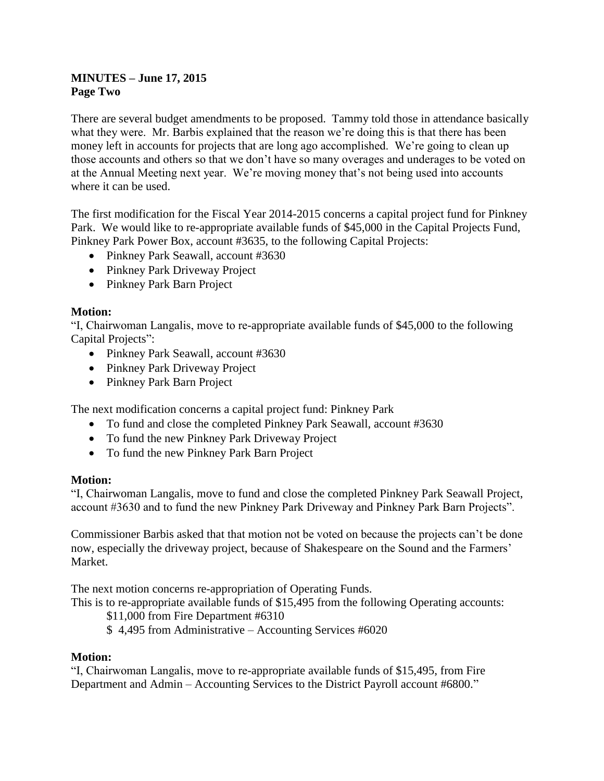## **MINUTES – June 17, 2015 Page Two**

There are several budget amendments to be proposed. Tammy told those in attendance basically what they were. Mr. Barbis explained that the reason we're doing this is that there has been money left in accounts for projects that are long ago accomplished. We're going to clean up those accounts and others so that we don't have so many overages and underages to be voted on at the Annual Meeting next year. We're moving money that's not being used into accounts where it can be used.

The first modification for the Fiscal Year 2014-2015 concerns a capital project fund for Pinkney Park. We would like to re-appropriate available funds of \$45,000 in the Capital Projects Fund, Pinkney Park Power Box, account #3635, to the following Capital Projects:

- Pinkney Park Seawall, account #3630
- Pinkney Park Driveway Project
- Pinkney Park Barn Project

#### **Motion:**

"I, Chairwoman Langalis, move to re-appropriate available funds of \$45,000 to the following Capital Projects":

- Pinkney Park Seawall, account #3630
- Pinkney Park Driveway Project
- Pinkney Park Barn Project

The next modification concerns a capital project fund: Pinkney Park

- To fund and close the completed Pinkney Park Seawall, account #3630
- To fund the new Pinkney Park Driveway Project
- To fund the new Pinkney Park Barn Project

#### **Motion:**

"I, Chairwoman Langalis, move to fund and close the completed Pinkney Park Seawall Project, account #3630 and to fund the new Pinkney Park Driveway and Pinkney Park Barn Projects".

Commissioner Barbis asked that that motion not be voted on because the projects can't be done now, especially the driveway project, because of Shakespeare on the Sound and the Farmers' Market.

The next motion concerns re-appropriation of Operating Funds.

This is to re-appropriate available funds of \$15,495 from the following Operating accounts:

\$11,000 from Fire Department #6310

\$ 4,495 from Administrative – Accounting Services #6020

#### **Motion:**

"I, Chairwoman Langalis, move to re-appropriate available funds of \$15,495, from Fire Department and Admin – Accounting Services to the District Payroll account #6800."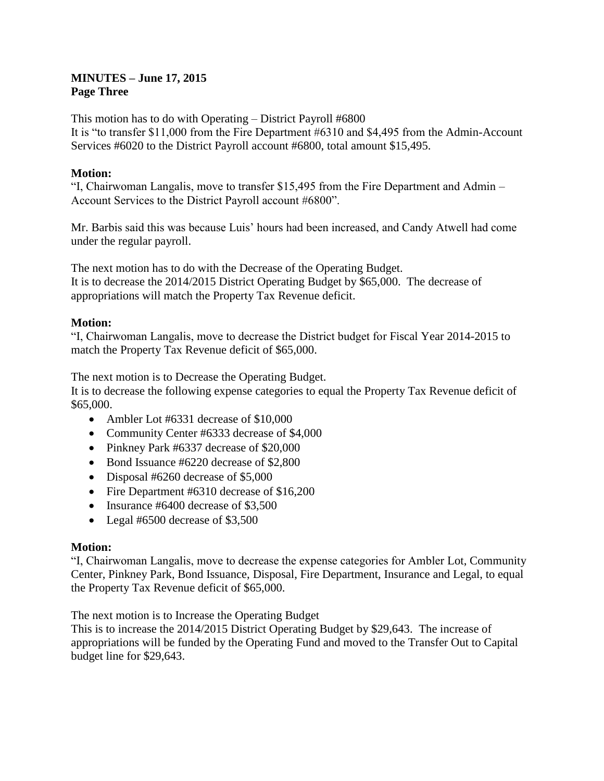### **MINUTES – June 17, 2015 Page Three**

This motion has to do with Operating – District Payroll #6800 It is "to transfer \$11,000 from the Fire Department #6310 and \$4,495 from the Admin-Account Services #6020 to the District Payroll account #6800, total amount \$15,495.

## **Motion:**

"I, Chairwoman Langalis, move to transfer \$15,495 from the Fire Department and Admin – Account Services to the District Payroll account #6800".

Mr. Barbis said this was because Luis' hours had been increased, and Candy Atwell had come under the regular payroll.

The next motion has to do with the Decrease of the Operating Budget. It is to decrease the 2014/2015 District Operating Budget by \$65,000. The decrease of appropriations will match the Property Tax Revenue deficit.

## **Motion:**

"I, Chairwoman Langalis, move to decrease the District budget for Fiscal Year 2014-2015 to match the Property Tax Revenue deficit of \$65,000.

The next motion is to Decrease the Operating Budget.

It is to decrease the following expense categories to equal the Property Tax Revenue deficit of \$65,000.

- Ambler Lot #6331 decrease of \$10,000
- Community Center #6333 decrease of \$4,000
- Pinkney Park #6337 decrease of \$20,000
- Bond Issuance #6220 decrease of \$2,800
- Disposal #6260 decrease of \$5,000
- Fire Department #6310 decrease of \$16,200
- Insurance #6400 decrease of \$3,500
- Legal #6500 decrease of \$3,500

## **Motion:**

"I, Chairwoman Langalis, move to decrease the expense categories for Ambler Lot, Community Center, Pinkney Park, Bond Issuance, Disposal, Fire Department, Insurance and Legal, to equal the Property Tax Revenue deficit of \$65,000.

The next motion is to Increase the Operating Budget

This is to increase the 2014/2015 District Operating Budget by \$29,643. The increase of appropriations will be funded by the Operating Fund and moved to the Transfer Out to Capital budget line for \$29,643.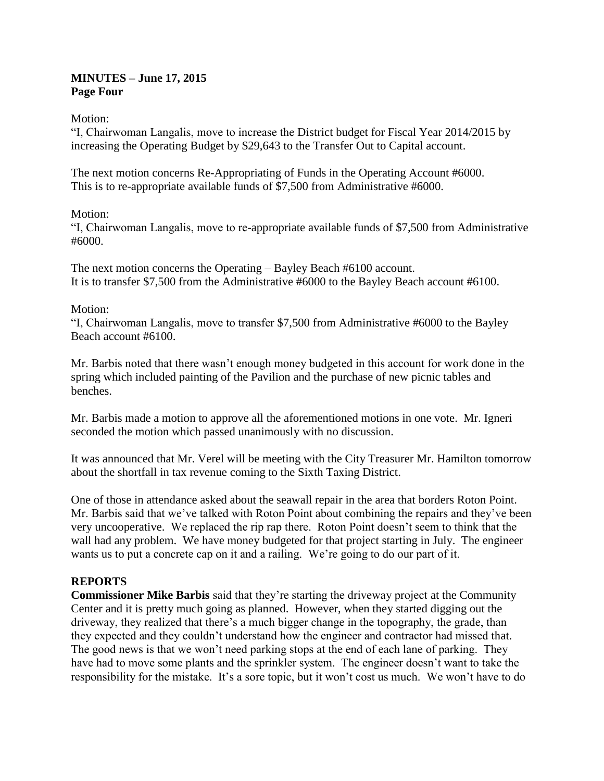### **MINUTES – June 17, 2015 Page Four**

Motion:

"I, Chairwoman Langalis, move to increase the District budget for Fiscal Year 2014/2015 by increasing the Operating Budget by \$29,643 to the Transfer Out to Capital account.

The next motion concerns Re-Appropriating of Funds in the Operating Account #6000. This is to re-appropriate available funds of \$7,500 from Administrative #6000.

## Motion:

"I, Chairwoman Langalis, move to re-appropriate available funds of \$7,500 from Administrative #6000.

The next motion concerns the Operating – Bayley Beach #6100 account. It is to transfer \$7,500 from the Administrative #6000 to the Bayley Beach account #6100.

## Motion:

"I, Chairwoman Langalis, move to transfer \$7,500 from Administrative #6000 to the Bayley Beach account #6100.

Mr. Barbis noted that there wasn't enough money budgeted in this account for work done in the spring which included painting of the Pavilion and the purchase of new picnic tables and benches.

Mr. Barbis made a motion to approve all the aforementioned motions in one vote. Mr. Igneri seconded the motion which passed unanimously with no discussion.

It was announced that Mr. Verel will be meeting with the City Treasurer Mr. Hamilton tomorrow about the shortfall in tax revenue coming to the Sixth Taxing District.

One of those in attendance asked about the seawall repair in the area that borders Roton Point. Mr. Barbis said that we've talked with Roton Point about combining the repairs and they've been very uncooperative. We replaced the rip rap there. Roton Point doesn't seem to think that the wall had any problem. We have money budgeted for that project starting in July. The engineer wants us to put a concrete cap on it and a railing. We're going to do our part of it.

## **REPORTS**

**Commissioner Mike Barbis** said that they're starting the driveway project at the Community Center and it is pretty much going as planned. However, when they started digging out the driveway, they realized that there's a much bigger change in the topography, the grade, than they expected and they couldn't understand how the engineer and contractor had missed that. The good news is that we won't need parking stops at the end of each lane of parking. They have had to move some plants and the sprinkler system. The engineer doesn't want to take the responsibility for the mistake. It's a sore topic, but it won't cost us much. We won't have to do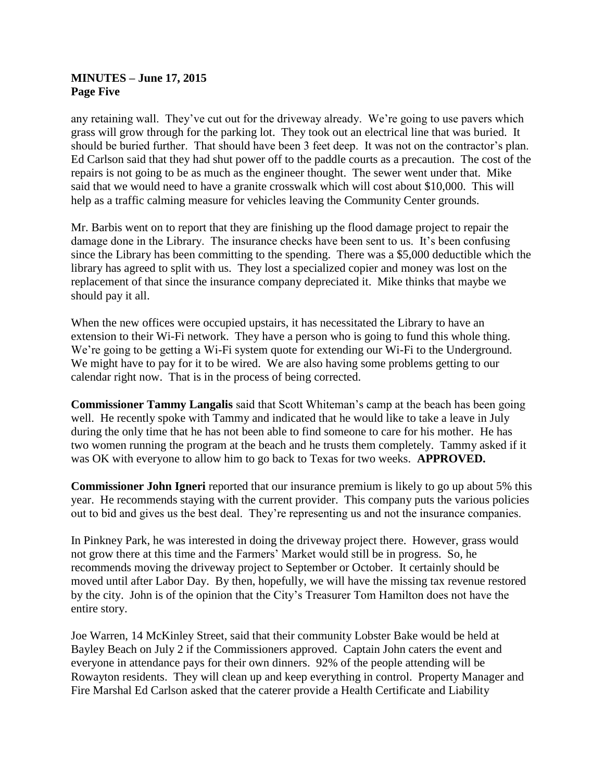#### **MINUTES – June 17, 2015 Page Five**

any retaining wall. They've cut out for the driveway already. We're going to use pavers which grass will grow through for the parking lot. They took out an electrical line that was buried. It should be buried further. That should have been 3 feet deep. It was not on the contractor's plan. Ed Carlson said that they had shut power off to the paddle courts as a precaution. The cost of the repairs is not going to be as much as the engineer thought. The sewer went under that. Mike said that we would need to have a granite crosswalk which will cost about \$10,000. This will help as a traffic calming measure for vehicles leaving the Community Center grounds.

Mr. Barbis went on to report that they are finishing up the flood damage project to repair the damage done in the Library. The insurance checks have been sent to us. It's been confusing since the Library has been committing to the spending. There was a \$5,000 deductible which the library has agreed to split with us. They lost a specialized copier and money was lost on the replacement of that since the insurance company depreciated it. Mike thinks that maybe we should pay it all.

When the new offices were occupied upstairs, it has necessitated the Library to have an extension to their Wi-Fi network. They have a person who is going to fund this whole thing. We're going to be getting a Wi-Fi system quote for extending our Wi-Fi to the Underground. We might have to pay for it to be wired. We are also having some problems getting to our calendar right now. That is in the process of being corrected.

**Commissioner Tammy Langalis** said that Scott Whiteman's camp at the beach has been going well. He recently spoke with Tammy and indicated that he would like to take a leave in July during the only time that he has not been able to find someone to care for his mother. He has two women running the program at the beach and he trusts them completely. Tammy asked if it was OK with everyone to allow him to go back to Texas for two weeks. **APPROVED.**

**Commissioner John Igneri** reported that our insurance premium is likely to go up about 5% this year. He recommends staying with the current provider. This company puts the various policies out to bid and gives us the best deal. They're representing us and not the insurance companies.

In Pinkney Park, he was interested in doing the driveway project there. However, grass would not grow there at this time and the Farmers' Market would still be in progress. So, he recommends moving the driveway project to September or October. It certainly should be moved until after Labor Day. By then, hopefully, we will have the missing tax revenue restored by the city. John is of the opinion that the City's Treasurer Tom Hamilton does not have the entire story.

Joe Warren, 14 McKinley Street, said that their community Lobster Bake would be held at Bayley Beach on July 2 if the Commissioners approved. Captain John caters the event and everyone in attendance pays for their own dinners. 92% of the people attending will be Rowayton residents. They will clean up and keep everything in control. Property Manager and Fire Marshal Ed Carlson asked that the caterer provide a Health Certificate and Liability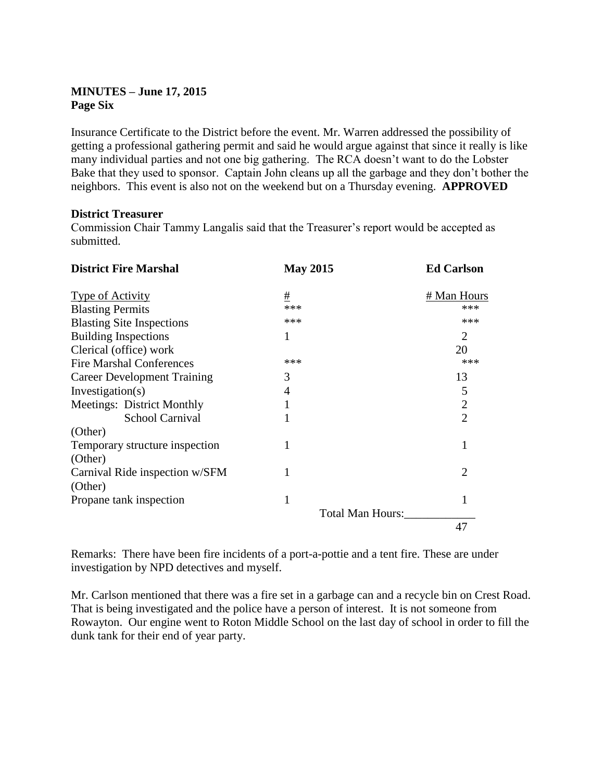## **MINUTES – June 17, 2015 Page Six**

Insurance Certificate to the District before the event. Mr. Warren addressed the possibility of getting a professional gathering permit and said he would argue against that since it really is like many individual parties and not one big gathering. The RCA doesn't want to do the Lobster Bake that they used to sponsor. Captain John cleans up all the garbage and they don't bother the neighbors. This event is also not on the weekend but on a Thursday evening. **APPROVED**

## **District Treasurer**

Commission Chair Tammy Langalis said that the Treasurer's report would be accepted as submitted.

| <b>District Fire Marshal</b>       | <b>May 2015</b>  | <b>Ed Carlson</b> |
|------------------------------------|------------------|-------------------|
| <b>Type of Activity</b>            | $\pm$            | # Man Hours       |
| <b>Blasting Permits</b>            | ***              | ***               |
| <b>Blasting Site Inspections</b>   | ***              | ***               |
| <b>Building Inspections</b>        |                  | $\overline{2}$    |
| Clerical (office) work             |                  | 20                |
| <b>Fire Marshal Conferences</b>    | ***              | ***               |
| <b>Career Development Training</b> | 3                | 13                |
| Investigation(s)                   | 4                | 5                 |
| Meetings: District Monthly         |                  | $\overline{2}$    |
| <b>School Carnival</b>             |                  | $\overline{2}$    |
| (Other)                            |                  |                   |
| Temporary structure inspection     |                  |                   |
| (Other)                            |                  |                   |
| Carnival Ride inspection w/SFM     |                  | $\overline{2}$    |
| (Other)                            |                  |                   |
| Propane tank inspection            | 1                | 1                 |
|                                    | Total Man Hours: |                   |
|                                    |                  | 47                |

Remarks: There have been fire incidents of a port-a-pottie and a tent fire. These are under investigation by NPD detectives and myself.

Mr. Carlson mentioned that there was a fire set in a garbage can and a recycle bin on Crest Road. That is being investigated and the police have a person of interest. It is not someone from Rowayton. Our engine went to Roton Middle School on the last day of school in order to fill the dunk tank for their end of year party.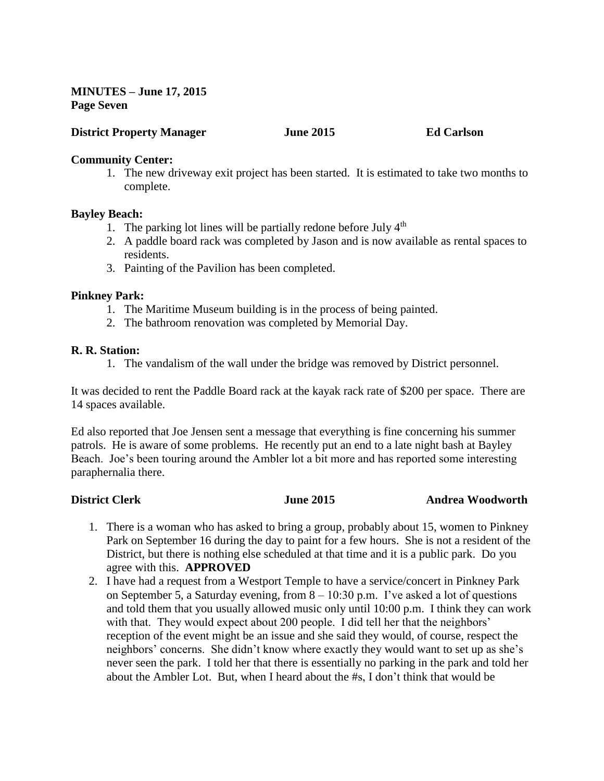**MINUTES – June 17, 2015 Page Seven**

## **District Property Manager June 2015 Ed Carlson**

#### **Community Center:**

1. The new driveway exit project has been started. It is estimated to take two months to complete.

#### **Bayley Beach:**

- 1. The parking lot lines will be partially redone before July  $4<sup>th</sup>$
- 2. A paddle board rack was completed by Jason and is now available as rental spaces to residents.
- 3. Painting of the Pavilion has been completed.

#### **Pinkney Park:**

- 1. The Maritime Museum building is in the process of being painted.
- 2. The bathroom renovation was completed by Memorial Day.

#### **R. R. Station:**

1. The vandalism of the wall under the bridge was removed by District personnel.

It was decided to rent the Paddle Board rack at the kayak rack rate of \$200 per space. There are 14 spaces available.

Ed also reported that Joe Jensen sent a message that everything is fine concerning his summer patrols. He is aware of some problems. He recently put an end to a late night bash at Bayley Beach. Joe's been touring around the Ambler lot a bit more and has reported some interesting paraphernalia there.

**District Clerk June 2015 Andrea Woodworth**

- 1. There is a woman who has asked to bring a group, probably about 15, women to Pinkney Park on September 16 during the day to paint for a few hours. She is not a resident of the District, but there is nothing else scheduled at that time and it is a public park. Do you agree with this. **APPROVED**
- 2. I have had a request from a Westport Temple to have a service/concert in Pinkney Park on September 5, a Saturday evening, from 8 – 10:30 p.m. I've asked a lot of questions and told them that you usually allowed music only until 10:00 p.m. I think they can work with that. They would expect about 200 people. I did tell her that the neighbors' reception of the event might be an issue and she said they would, of course, respect the neighbors' concerns. She didn't know where exactly they would want to set up as she's never seen the park. I told her that there is essentially no parking in the park and told her about the Ambler Lot. But, when I heard about the #s, I don't think that would be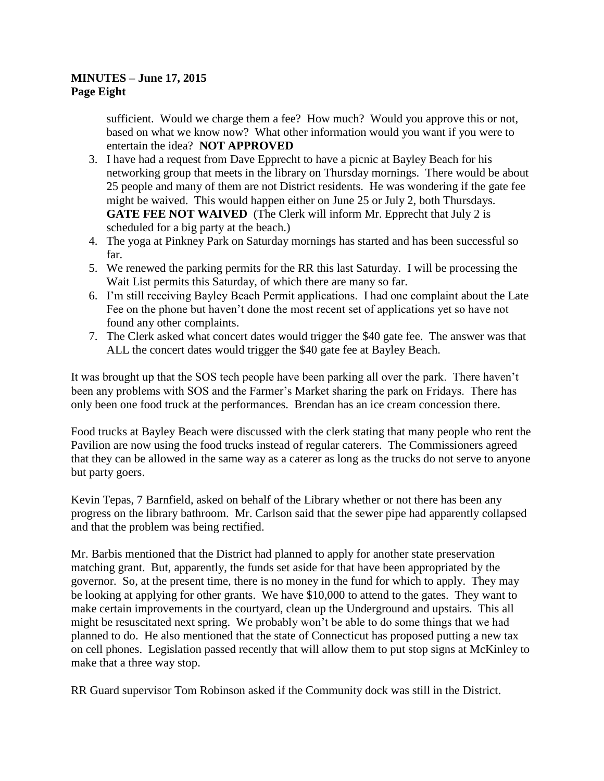## **MINUTES – June 17, 2015 Page Eight**

sufficient. Would we charge them a fee? How much? Would you approve this or not, based on what we know now? What other information would you want if you were to entertain the idea? **NOT APPROVED**

- 3. I have had a request from Dave Epprecht to have a picnic at Bayley Beach for his networking group that meets in the library on Thursday mornings. There would be about 25 people and many of them are not District residents. He was wondering if the gate fee might be waived. This would happen either on June 25 or July 2, both Thursdays. **GATE FEE NOT WAIVED** (The Clerk will inform Mr. Epprecht that July 2 is scheduled for a big party at the beach.)
- 4. The yoga at Pinkney Park on Saturday mornings has started and has been successful so far.
- 5. We renewed the parking permits for the RR this last Saturday. I will be processing the Wait List permits this Saturday, of which there are many so far.
- 6. I'm still receiving Bayley Beach Permit applications. I had one complaint about the Late Fee on the phone but haven't done the most recent set of applications yet so have not found any other complaints.
- 7. The Clerk asked what concert dates would trigger the \$40 gate fee. The answer was that ALL the concert dates would trigger the \$40 gate fee at Bayley Beach.

It was brought up that the SOS tech people have been parking all over the park. There haven't been any problems with SOS and the Farmer's Market sharing the park on Fridays. There has only been one food truck at the performances. Brendan has an ice cream concession there.

Food trucks at Bayley Beach were discussed with the clerk stating that many people who rent the Pavilion are now using the food trucks instead of regular caterers. The Commissioners agreed that they can be allowed in the same way as a caterer as long as the trucks do not serve to anyone but party goers.

Kevin Tepas, 7 Barnfield, asked on behalf of the Library whether or not there has been any progress on the library bathroom. Mr. Carlson said that the sewer pipe had apparently collapsed and that the problem was being rectified.

Mr. Barbis mentioned that the District had planned to apply for another state preservation matching grant. But, apparently, the funds set aside for that have been appropriated by the governor. So, at the present time, there is no money in the fund for which to apply. They may be looking at applying for other grants. We have \$10,000 to attend to the gates. They want to make certain improvements in the courtyard, clean up the Underground and upstairs. This all might be resuscitated next spring. We probably won't be able to do some things that we had planned to do. He also mentioned that the state of Connecticut has proposed putting a new tax on cell phones. Legislation passed recently that will allow them to put stop signs at McKinley to make that a three way stop.

RR Guard supervisor Tom Robinson asked if the Community dock was still in the District.